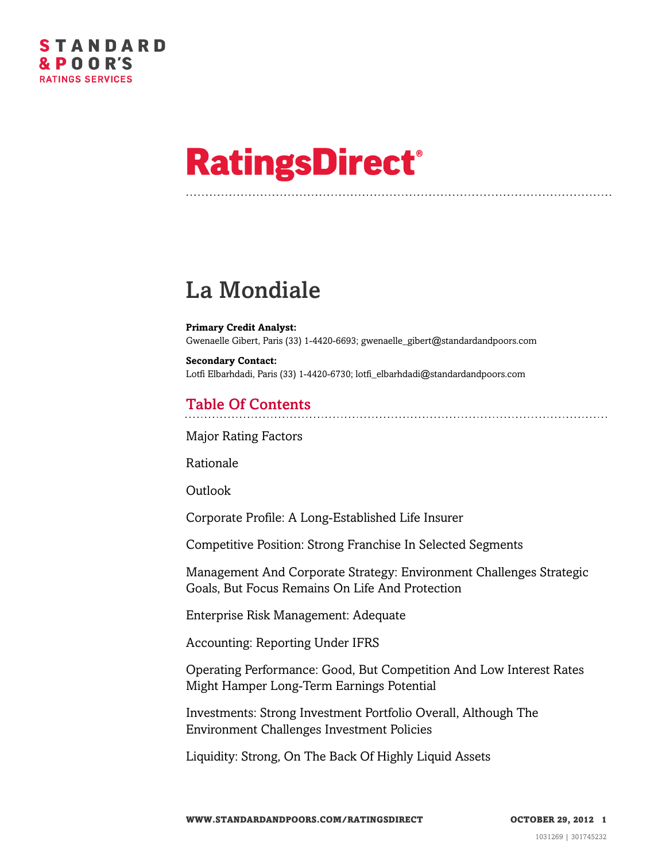# **RatingsDirect®**

# La Mondiale

**Primary Credit Analyst:** Gwenaelle Gibert, Paris (33) 1-4420-6693; gwenaelle\_gibert@standardandpoors.com

**Secondary Contact:** Lotfi Elbarhdadi, Paris (33) 1-4420-6730; lotfi\_elbarhdadi@standardandpoors.com

### Table Of Contents

[Major Rating Factors](#page-2-0)

[Rationale](#page-2-1)

[Outlook](#page-3-0)

[Corporate Profile: A Long-Established Life Insurer](#page-3-1)

[Competitive Position: Strong Franchise In Selected Segments](#page-4-0)

[Management And Corporate Strategy: Environment Challenges Strategic](#page-5-0) [Goals, But Focus Remains On Life And Protection](#page-5-0)

[Enterprise Risk Management: Adequate](#page-6-0)

[Accounting: Reporting Under IFRS](#page-7-0)

[Operating Performance: Good, But Competition And Low Interest Rates](#page-7-1) [Might Hamper Long-Term Earnings Potential](#page-7-1)

[Investments: Strong Investment Portfolio Overall, Although The](#page-8-0) [Environment Challenges Investment Policies](#page-8-0)

[Liquidity: Strong, On The Back Of Highly Liquid Assets](#page-9-0)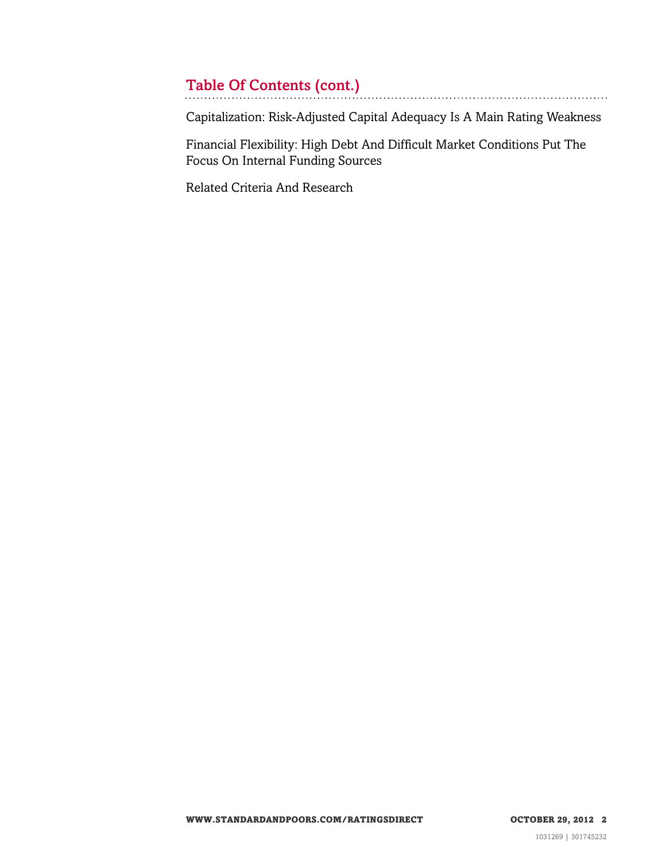# Table Of Contents (cont.)

[Capitalization: Risk-Adjusted Capital Adequacy Is A Main Rating Weakness](#page-9-1)

[Financial Flexibility: High Debt And Difficult Market Conditions Put The](#page-10-0) [Focus On Internal Funding Sources](#page-10-0)

[Related Criteria And Research](#page-10-1)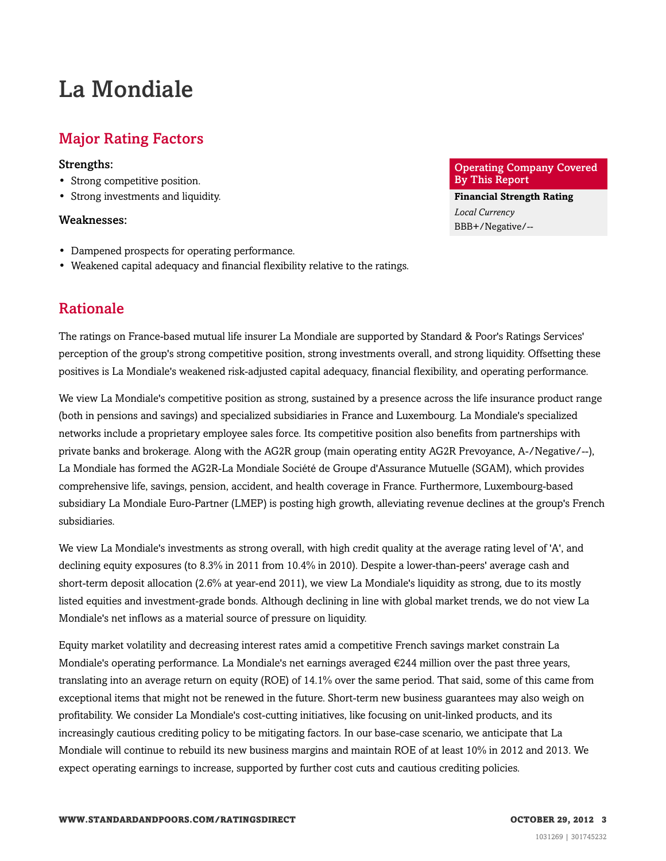## La Mondiale

### <span id="page-2-0"></span>Major Rating Factors

#### Strengths:

- Strong competitive position.
- Strong investments and liquidity.

#### Weaknesses:

- Dampened prospects for operating performance.
- <span id="page-2-1"></span>• Weakened capital adequacy and financial flexibility relative to the ratings.

#### Rationale

The ratings on France-based mutual life insurer La Mondiale are supported by Standard & Poor's Ratings Services' perception of the group's strong competitive position, strong investments overall, and strong liquidity. Offsetting these positives is La Mondiale's weakened risk-adjusted capital adequacy, financial flexibility, and operating performance.

We view La Mondiale's competitive position as strong, sustained by a presence across the life insurance product range (both in pensions and savings) and specialized subsidiaries in France and Luxembourg. La Mondiale's specialized networks include a proprietary employee sales force. Its competitive position also benefits from partnerships with private banks and brokerage. Along with the AG2R group (main operating entity AG2R Prevoyance, A-/Negative/--), La Mondiale has formed the AG2R-La Mondiale Société de Groupe d'Assurance Mutuelle (SGAM), which provides comprehensive life, savings, pension, accident, and health coverage in France. Furthermore, Luxembourg-based subsidiary La Mondiale Euro-Partner (LMEP) is posting high growth, alleviating revenue declines at the group's French subsidiaries.

We view La Mondiale's investments as strong overall, with high credit quality at the average rating level of 'A', and declining equity exposures (to 8.3% in 2011 from 10.4% in 2010). Despite a lower-than-peers' average cash and short-term deposit allocation (2.6% at year-end 2011), we view La Mondiale's liquidity as strong, due to its mostly listed equities and investment-grade bonds. Although declining in line with global market trends, we do not view La Mondiale's net inflows as a material source of pressure on liquidity.

Equity market volatility and decreasing interest rates amid a competitive French savings market constrain La Mondiale's operating performance. La Mondiale's net earnings averaged €244 million over the past three years, translating into an average return on equity (ROE) of 14.1% over the same period. That said, some of this came from exceptional items that might not be renewed in the future. Short-term new business guarantees may also weigh on profitability. We consider La Mondiale's cost-cutting initiatives, like focusing on unit-linked products, and its increasingly cautious crediting policy to be mitigating factors. In our base-case scenario, we anticipate that La Mondiale will continue to rebuild its new business margins and maintain ROE of at least 10% in 2012 and 2013. We expect operating earnings to increase, supported by further cost cuts and cautious crediting policies.

Operating Company Covered By This Report

**Financial Strength Rating** *Local Currency* BBB+/Negative/--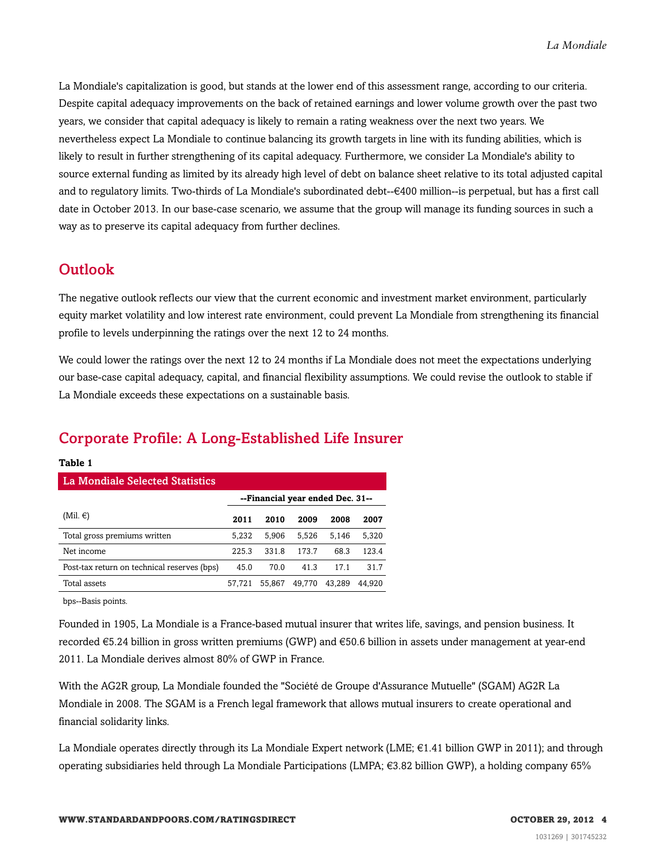La Mondiale's capitalization is good, but stands at the lower end of this assessment range, according to our criteria. Despite capital adequacy improvements on the back of retained earnings and lower volume growth over the past two years, we consider that capital adequacy is likely to remain a rating weakness over the next two years. We nevertheless expect La Mondiale to continue balancing its growth targets in line with its funding abilities, which is likely to result in further strengthening of its capital adequacy. Furthermore, we consider La Mondiale's ability to source external funding as limited by its already high level of debt on balance sheet relative to its total adjusted capital and to regulatory limits. Two-thirds of La Mondiale's subordinated debt--€400 million--is perpetual, but has a first call date in October 2013. In our base-case scenario, we assume that the group will manage its funding sources in such a way as to preserve its capital adequacy from further declines.

### <span id="page-3-0"></span>**Outlook**

The negative outlook reflects our view that the current economic and investment market environment, particularly equity market volatility and low interest rate environment, could prevent La Mondiale from strengthening its financial profile to levels underpinning the ratings over the next 12 to 24 months.

We could lower the ratings over the next 12 to 24 months if La Mondiale does not meet the expectations underlying our base-case capital adequacy, capital, and financial flexibility assumptions. We could revise the outlook to stable if La Mondiale exceeds these expectations on a sustainable basis.

### <span id="page-3-1"></span>Corporate Profile: A Long-Established Life Insurer

| 'La Mondiale Selected Statistics            |                                  |        |        |        |        |  |  |  |
|---------------------------------------------|----------------------------------|--------|--------|--------|--------|--|--|--|
|                                             | --Financial year ended Dec. 31-- |        |        |        |        |  |  |  |
| (Mil. $\in$ )                               | 2011                             | 2010   | 2009   | 2008   | 2007   |  |  |  |
| Total gross premiums written                | 5.232                            | 5.906  | 5.526  | 5.146  | 5,320  |  |  |  |
| Net income                                  | 225.3                            | 331.8  | 173.7  | 68.3   | 123.4  |  |  |  |
| Post-tax return on technical reserves (bps) | 45.0                             | 70.0   | 41.3   | 17.1   | 31.7   |  |  |  |
| Total assets                                | 57,721                           | 55,867 | 49.770 | 43.289 | 44.920 |  |  |  |

bps--Basis points.

**Table 1**

Founded in 1905, La Mondiale is a France-based mutual insurer that writes life, savings, and pension business. It recorded €5.24 billion in gross written premiums (GWP) and €50.6 billion in assets under management at year-end 2011. La Mondiale derives almost 80% of GWP in France.

With the AG2R group, La Mondiale founded the "Société de Groupe d'Assurance Mutuelle" (SGAM) AG2R La Mondiale in 2008. The SGAM is a French legal framework that allows mutual insurers to create operational and financial solidarity links.

La Mondiale operates directly through its La Mondiale Expert network (LME; €1.41 billion GWP in 2011); and through operating subsidiaries held through La Mondiale Participations (LMPA; €3.82 billion GWP), a holding company 65%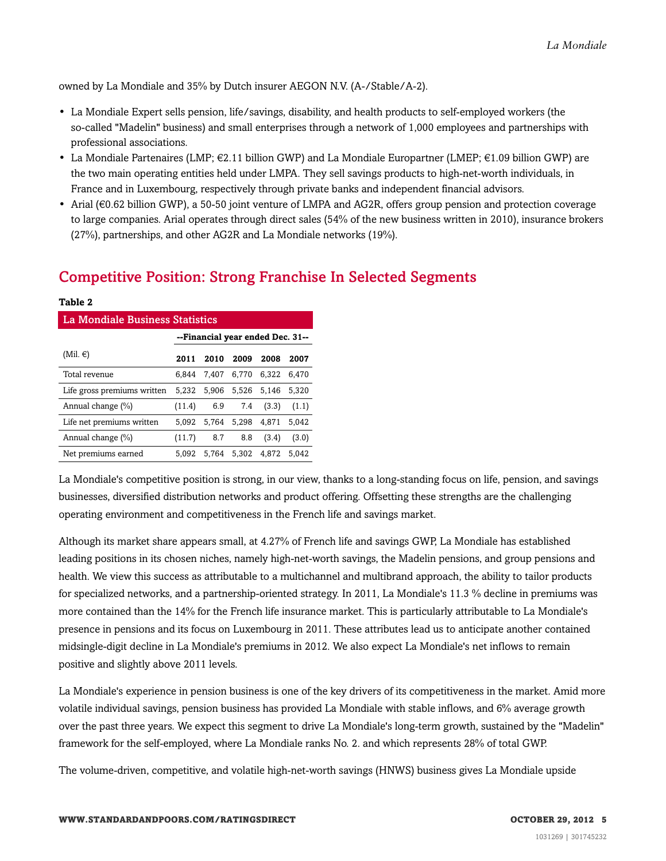owned by La Mondiale and 35% by Dutch insurer AEGON N.V. (A-/Stable/A-2).

- La Mondiale Expert sells pension, life/savings, disability, and health products to self-employed workers (the so-called "Madelin" business) and small enterprises through a network of 1,000 employees and partnerships with professional associations.
- La Mondiale Partenaires (LMP;  $\in 2.11$  billion GWP) and La Mondiale Europartner (LMEP;  $\in 1.09$  billion GWP) are the two main operating entities held under LMPA. They sell savings products to high-net-worth individuals, in France and in Luxembourg, respectively through private banks and independent financial advisors.
- Arial (€0.62 billion GWP), a 50-50 joint venture of LMPA and AG2R, offers group pension and protection coverage to large companies. Arial operates through direct sales (54% of the new business written in 2010), insurance brokers (27%), partnerships, and other AG2R and La Mondiale networks (19%).

### <span id="page-4-0"></span>Competitive Position: Strong Franchise In Selected Segments

| TUNIC U                         |                                  |       |       |       |       |  |  |
|---------------------------------|----------------------------------|-------|-------|-------|-------|--|--|
| La Mondiale Business Statistics |                                  |       |       |       |       |  |  |
|                                 | --Financial year ended Dec. 31-- |       |       |       |       |  |  |
| (Mil. $\in$ )                   | 2011                             | 2010  | 2009  | 2008  | 2007  |  |  |
| Total revenue                   | 6.844                            | 7.407 | 6.770 | 6.322 | 6.470 |  |  |
| Life gross premiums written     | 5.232                            | 5.906 | 5.526 | 5.146 | 5,320 |  |  |
| Annual change (%)               | (11.4)                           | 6.9   | 7.4   | (3.3) | (1.1) |  |  |
| Life net premiums written       | 5.092                            | 5.764 | 5,298 | 4.871 | 5.042 |  |  |
| Annual change (%)               | (11.7)                           | 8.7   | 8.8   | (3.4) | (3.0) |  |  |
| Net premiums earned             | 5.092                            | 5.764 | 5.302 | 4.872 | 5.042 |  |  |

**Table 2**

La Mondiale's competitive position is strong, in our view, thanks to a long-standing focus on life, pension, and savings businesses, diversified distribution networks and product offering. Offsetting these strengths are the challenging operating environment and competitiveness in the French life and savings market.

Although its market share appears small, at 4.27% of French life and savings GWP, La Mondiale has established leading positions in its chosen niches, namely high-net-worth savings, the Madelin pensions, and group pensions and health. We view this success as attributable to a multichannel and multibrand approach, the ability to tailor products for specialized networks, and a partnership-oriented strategy. In 2011, La Mondiale's 11.3 % decline in premiums was more contained than the 14% for the French life insurance market. This is particularly attributable to La Mondiale's presence in pensions and its focus on Luxembourg in 2011. These attributes lead us to anticipate another contained midsingle-digit decline in La Mondiale's premiums in 2012. We also expect La Mondiale's net inflows to remain positive and slightly above 2011 levels.

La Mondiale's experience in pension business is one of the key drivers of its competitiveness in the market. Amid more volatile individual savings, pension business has provided La Mondiale with stable inflows, and 6% average growth over the past three years. We expect this segment to drive La Mondiale's long-term growth, sustained by the "Madelin" framework for the self-employed, where La Mondiale ranks No. 2. and which represents 28% of total GWP.

The volume-driven, competitive, and volatile high-net-worth savings (HNWS) business gives La Mondiale upside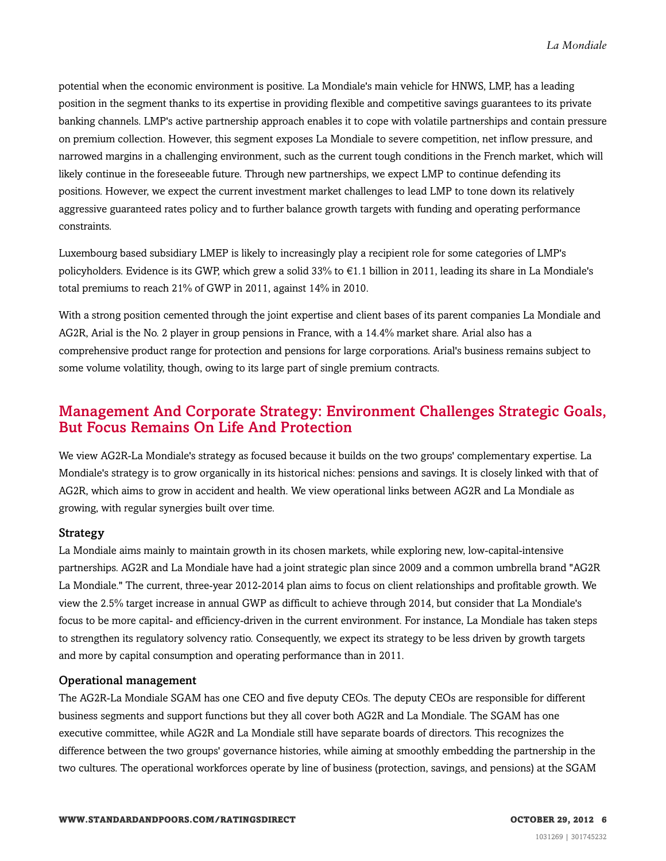potential when the economic environment is positive. La Mondiale's main vehicle for HNWS, LMP, has a leading position in the segment thanks to its expertise in providing flexible and competitive savings guarantees to its private banking channels. LMP's active partnership approach enables it to cope with volatile partnerships and contain pressure on premium collection. However, this segment exposes La Mondiale to severe competition, net inflow pressure, and narrowed margins in a challenging environment, such as the current tough conditions in the French market, which will likely continue in the foreseeable future. Through new partnerships, we expect LMP to continue defending its positions. However, we expect the current investment market challenges to lead LMP to tone down its relatively aggressive guaranteed rates policy and to further balance growth targets with funding and operating performance constraints.

Luxembourg based subsidiary LMEP is likely to increasingly play a recipient role for some categories of LMP's policyholders. Evidence is its GWP, which grew a solid 33% to  $\epsilon$ 1.1 billion in 2011, leading its share in La Mondiale's total premiums to reach 21% of GWP in 2011, against 14% in 2010.

With a strong position cemented through the joint expertise and client bases of its parent companies La Mondiale and AG2R, Arial is the No. 2 player in group pensions in France, with a 14.4% market share. Arial also has a comprehensive product range for protection and pensions for large corporations. Arial's business remains subject to some volume volatility, though, owing to its large part of single premium contracts.

#### <span id="page-5-0"></span>Management And Corporate Strategy: Environment Challenges Strategic Goals, But Focus Remains On Life And Protection

We view AG2R-La Mondiale's strategy as focused because it builds on the two groups' complementary expertise. La Mondiale's strategy is to grow organically in its historical niches: pensions and savings. It is closely linked with that of AG2R, which aims to grow in accident and health. We view operational links between AG2R and La Mondiale as growing, with regular synergies built over time.

#### Strategy

La Mondiale aims mainly to maintain growth in its chosen markets, while exploring new, low-capital-intensive partnerships. AG2R and La Mondiale have had a joint strategic plan since 2009 and a common umbrella brand "AG2R La Mondiale." The current, three-year 2012-2014 plan aims to focus on client relationships and profitable growth. We view the 2.5% target increase in annual GWP as difficult to achieve through 2014, but consider that La Mondiale's focus to be more capital- and efficiency-driven in the current environment. For instance, La Mondiale has taken steps to strengthen its regulatory solvency ratio. Consequently, we expect its strategy to be less driven by growth targets and more by capital consumption and operating performance than in 2011.

#### Operational management

The AG2R-La Mondiale SGAM has one CEO and five deputy CEOs. The deputy CEOs are responsible for different business segments and support functions but they all cover both AG2R and La Mondiale. The SGAM has one executive committee, while AG2R and La Mondiale still have separate boards of directors. This recognizes the difference between the two groups' governance histories, while aiming at smoothly embedding the partnership in the two cultures. The operational workforces operate by line of business (protection, savings, and pensions) at the SGAM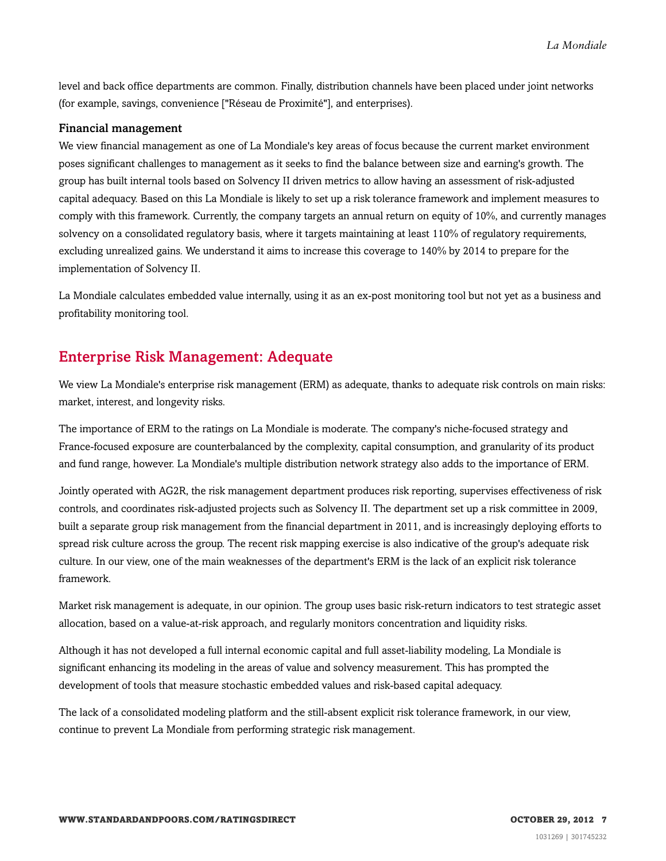level and back office departments are common. Finally, distribution channels have been placed under joint networks (for example, savings, convenience ["Réseau de Proximité"], and enterprises).

#### Financial management

We view financial management as one of La Mondiale's key areas of focus because the current market environment poses significant challenges to management as it seeks to find the balance between size and earning's growth. The group has built internal tools based on Solvency II driven metrics to allow having an assessment of risk-adjusted capital adequacy. Based on this La Mondiale is likely to set up a risk tolerance framework and implement measures to comply with this framework. Currently, the company targets an annual return on equity of 10%, and currently manages solvency on a consolidated regulatory basis, where it targets maintaining at least 110% of regulatory requirements, excluding unrealized gains. We understand it aims to increase this coverage to 140% by 2014 to prepare for the implementation of Solvency II.

La Mondiale calculates embedded value internally, using it as an ex-post monitoring tool but not yet as a business and profitability monitoring tool.

#### <span id="page-6-0"></span>Enterprise Risk Management: Adequate

We view La Mondiale's enterprise risk management (ERM) as adequate, thanks to adequate risk controls on main risks: market, interest, and longevity risks.

The importance of ERM to the ratings on La Mondiale is moderate. The company's niche-focused strategy and France-focused exposure are counterbalanced by the complexity, capital consumption, and granularity of its product and fund range, however. La Mondiale's multiple distribution network strategy also adds to the importance of ERM.

Jointly operated with AG2R, the risk management department produces risk reporting, supervises effectiveness of risk controls, and coordinates risk-adjusted projects such as Solvency II. The department set up a risk committee in 2009, built a separate group risk management from the financial department in 2011, and is increasingly deploying efforts to spread risk culture across the group. The recent risk mapping exercise is also indicative of the group's adequate risk culture. In our view, one of the main weaknesses of the department's ERM is the lack of an explicit risk tolerance framework.

Market risk management is adequate, in our opinion. The group uses basic risk-return indicators to test strategic asset allocation, based on a value-at-risk approach, and regularly monitors concentration and liquidity risks.

Although it has not developed a full internal economic capital and full asset-liability modeling, La Mondiale is significant enhancing its modeling in the areas of value and solvency measurement. This has prompted the development of tools that measure stochastic embedded values and risk-based capital adequacy.

The lack of a consolidated modeling platform and the still-absent explicit risk tolerance framework, in our view, continue to prevent La Mondiale from performing strategic risk management.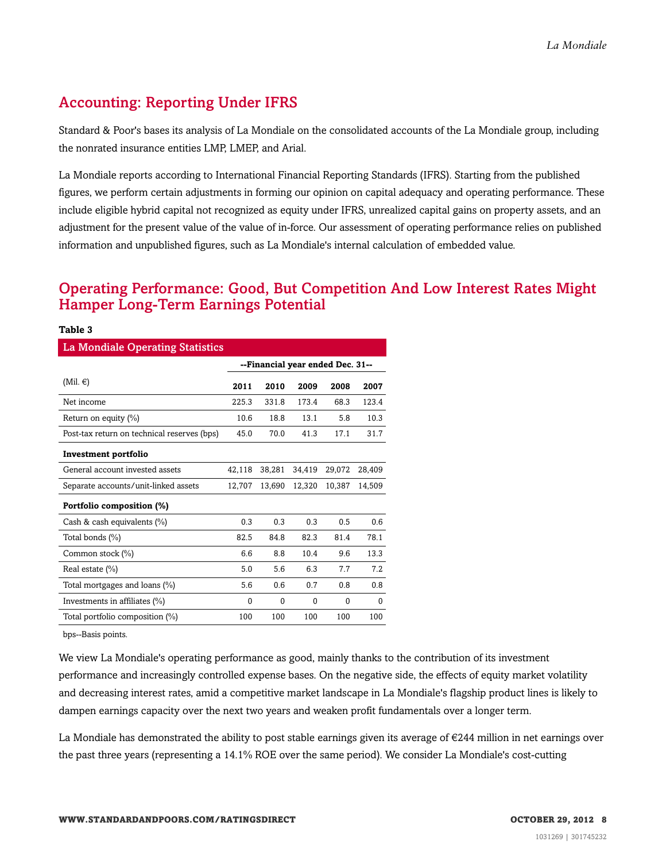### <span id="page-7-0"></span>Accounting: Reporting Under IFRS

Standard & Poor's bases its analysis of La Mondiale on the consolidated accounts of the La Mondiale group, including the nonrated insurance entities LMP, LMEP, and Arial.

La Mondiale reports according to International Financial Reporting Standards (IFRS). Starting from the published figures, we perform certain adjustments in forming our opinion on capital adequacy and operating performance. These include eligible hybrid capital not recognized as equity under IFRS, unrealized capital gains on property assets, and an adjustment for the present value of the value of in-force. Our assessment of operating performance relies on published information and unpublished figures, such as La Mondiale's internal calculation of embedded value.

### <span id="page-7-1"></span>Operating Performance: Good, But Competition And Low Interest Rates Might Hamper Long-Term Earnings Potential

| Table 3                                     |                                  |          |        |          |        |  |  |  |
|---------------------------------------------|----------------------------------|----------|--------|----------|--------|--|--|--|
| <b>La Mondiale Operating Statistics</b>     |                                  |          |        |          |        |  |  |  |
|                                             | --Financial year ended Dec. 31-- |          |        |          |        |  |  |  |
| (Mil. $\in$ )                               | 2011                             | 2010     | 2009   | 2008     | 2007   |  |  |  |
| Net income                                  | 225.3                            | 331.8    | 173.4  | 68.3     | 123.4  |  |  |  |
| Return on equity $(\% )$                    | 10.6                             | 18.8     | 13.1   | 5.8      | 10.3   |  |  |  |
| Post-tax return on technical reserves (bps) | 45.0                             | 70.0     | 41.3   | 17.1     | 31.7   |  |  |  |
| Investment portfolio                        |                                  |          |        |          |        |  |  |  |
| General account invested assets             | 42,118                           | 38,281   | 34,419 | 29,072   | 28,409 |  |  |  |
| Separate accounts/unit-linked assets        | 12,707                           | 13,690   | 12,320 | 10,387   | 14,509 |  |  |  |
| Portfolio composition (%)                   |                                  |          |        |          |        |  |  |  |
| Cash & cash equivalents $(\%)$              | 0.3                              | 0.3      | 0.3    | 0.5      | 0.6    |  |  |  |
| Total bonds (%)                             | 82.5                             | 84.8     | 82.3   | 81.4     | 78.1   |  |  |  |
| Common stock (%)                            | 6.6                              | 8.8      | 10.4   | 9.6      | 13.3   |  |  |  |
| Real estate (%)                             | 5.0                              | 5.6      | 6.3    | 7.7      | 7.2    |  |  |  |
| Total mortgages and loans (%)               | 5.6                              | 0.6      | 0.7    | 0.8      | 0.8    |  |  |  |
| Investments in affiliates (%)               | $\Omega$                         | $\theta$ | 0      | $\Omega$ | 0      |  |  |  |
| Total portfolio composition (%)             | 100                              | 100      | 100    | 100      | 100    |  |  |  |

bps--Basis points.

We view La Mondiale's operating performance as good, mainly thanks to the contribution of its investment performance and increasingly controlled expense bases. On the negative side, the effects of equity market volatility and decreasing interest rates, amid a competitive market landscape in La Mondiale's flagship product lines is likely to dampen earnings capacity over the next two years and weaken profit fundamentals over a longer term.

La Mondiale has demonstrated the ability to post stable earnings given its average of  $\epsilon$ 244 million in net earnings over the past three years (representing a 14.1% ROE over the same period). We consider La Mondiale's cost-cutting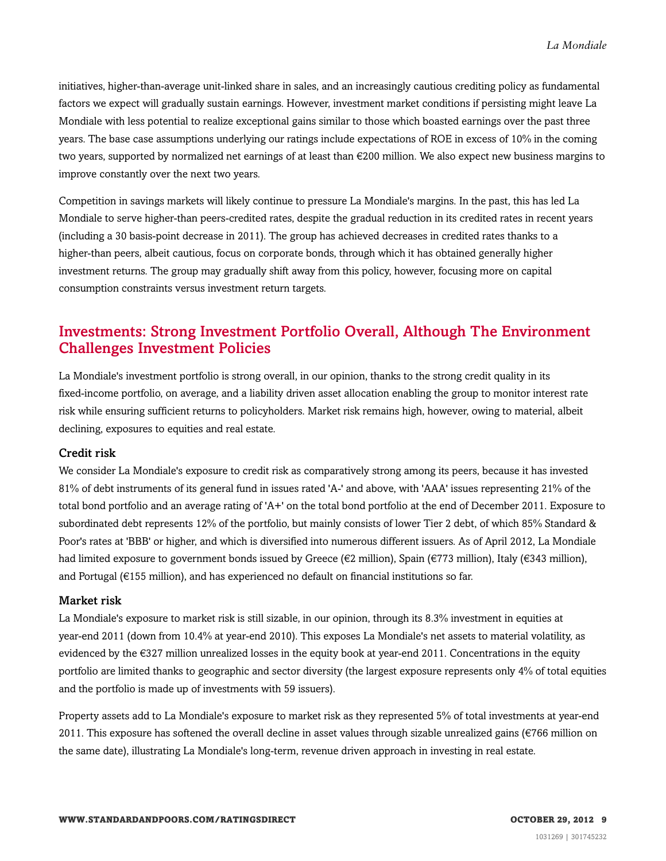initiatives, higher-than-average unit-linked share in sales, and an increasingly cautious crediting policy as fundamental factors we expect will gradually sustain earnings. However, investment market conditions if persisting might leave La Mondiale with less potential to realize exceptional gains similar to those which boasted earnings over the past three years. The base case assumptions underlying our ratings include expectations of ROE in excess of 10% in the coming two years, supported by normalized net earnings of at least than €200 million. We also expect new business margins to improve constantly over the next two years.

Competition in savings markets will likely continue to pressure La Mondiale's margins. In the past, this has led La Mondiale to serve higher-than peers-credited rates, despite the gradual reduction in its credited rates in recent years (including a 30 basis-point decrease in 2011). The group has achieved decreases in credited rates thanks to a higher-than peers, albeit cautious, focus on corporate bonds, through which it has obtained generally higher investment returns. The group may gradually shift away from this policy, however, focusing more on capital consumption constraints versus investment return targets.

#### <span id="page-8-0"></span>Investments: Strong Investment Portfolio Overall, Although The Environment Challenges Investment Policies

La Mondiale's investment portfolio is strong overall, in our opinion, thanks to the strong credit quality in its fixed-income portfolio, on average, and a liability driven asset allocation enabling the group to monitor interest rate risk while ensuring sufficient returns to policyholders. Market risk remains high, however, owing to material, albeit declining, exposures to equities and real estate.

#### Credit risk

We consider La Mondiale's exposure to credit risk as comparatively strong among its peers, because it has invested 81% of debt instruments of its general fund in issues rated 'A-' and above, with 'AAA' issues representing 21% of the total bond portfolio and an average rating of 'A+' on the total bond portfolio at the end of December 2011. Exposure to subordinated debt represents 12% of the portfolio, but mainly consists of lower Tier 2 debt, of which 85% Standard & Poor's rates at 'BBB' or higher, and which is diversified into numerous different issuers. As of April 2012, La Mondiale had limited exposure to government bonds issued by Greece (€2 million), Spain (€773 million), Italy (€343 million), and Portugal (€155 million), and has experienced no default on financial institutions so far.

#### Market risk

La Mondiale's exposure to market risk is still sizable, in our opinion, through its 8.3% investment in equities at year-end 2011 (down from 10.4% at year-end 2010). This exposes La Mondiale's net assets to material volatility, as evidenced by the  $\epsilon$ 327 million unrealized losses in the equity book at year-end 2011. Concentrations in the equity portfolio are limited thanks to geographic and sector diversity (the largest exposure represents only 4% of total equities and the portfolio is made up of investments with 59 issuers).

Property assets add to La Mondiale's exposure to market risk as they represented 5% of total investments at year-end 2011. This exposure has softened the overall decline in asset values through sizable unrealized gains ( $\epsilon$ 766 million on the same date), illustrating La Mondiale's long-term, revenue driven approach in investing in real estate.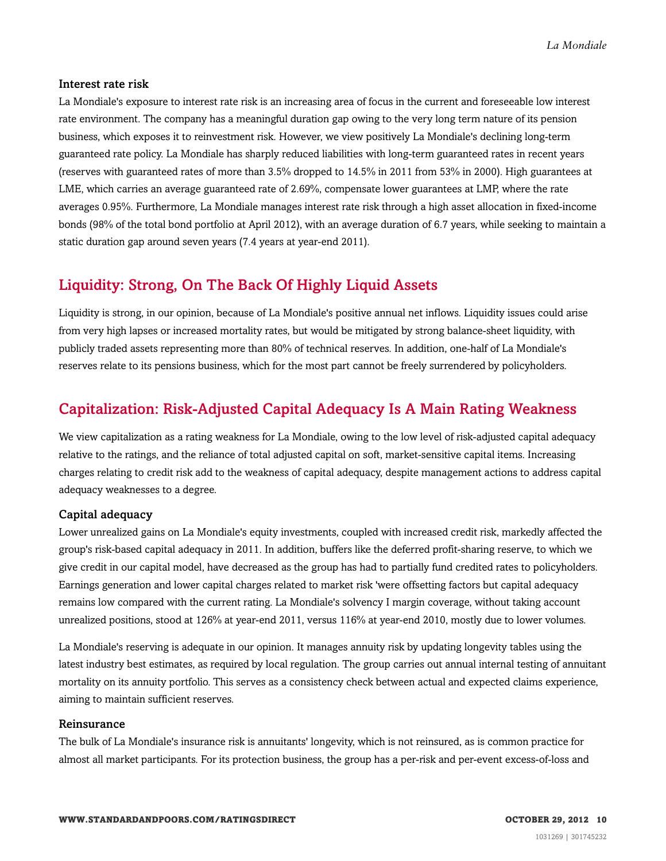#### Interest rate risk

La Mondiale's exposure to interest rate risk is an increasing area of focus in the current and foreseeable low interest rate environment. The company has a meaningful duration gap owing to the very long term nature of its pension business, which exposes it to reinvestment risk. However, we view positively La Mondiale's declining long-term guaranteed rate policy. La Mondiale has sharply reduced liabilities with long-term guaranteed rates in recent years (reserves with guaranteed rates of more than 3.5% dropped to 14.5% in 2011 from 53% in 2000). High guarantees at LME, which carries an average guaranteed rate of 2.69%, compensate lower guarantees at LMP, where the rate averages 0.95%. Furthermore, La Mondiale manages interest rate risk through a high asset allocation in fixed-income bonds (98% of the total bond portfolio at April 2012), with an average duration of 6.7 years, while seeking to maintain a static duration gap around seven years (7.4 years at year-end 2011).

### <span id="page-9-0"></span>Liquidity: Strong, On The Back Of Highly Liquid Assets

Liquidity is strong, in our opinion, because of La Mondiale's positive annual net inflows. Liquidity issues could arise from very high lapses or increased mortality rates, but would be mitigated by strong balance-sheet liquidity, with publicly traded assets representing more than 80% of technical reserves. In addition, one-half of La Mondiale's reserves relate to its pensions business, which for the most part cannot be freely surrendered by policyholders.

### <span id="page-9-1"></span>Capitalization: Risk-Adjusted Capital Adequacy Is A Main Rating Weakness

We view capitalization as a rating weakness for La Mondiale, owing to the low level of risk-adjusted capital adequacy relative to the ratings, and the reliance of total adjusted capital on soft, market-sensitive capital items. Increasing charges relating to credit risk add to the weakness of capital adequacy, despite management actions to address capital adequacy weaknesses to a degree.

#### Capital adequacy

Lower unrealized gains on La Mondiale's equity investments, coupled with increased credit risk, markedly affected the group's risk-based capital adequacy in 2011. In addition, buffers like the deferred profit-sharing reserve, to which we give credit in our capital model, have decreased as the group has had to partially fund credited rates to policyholders. Earnings generation and lower capital charges related to market risk 'were offsetting factors but capital adequacy remains low compared with the current rating. La Mondiale's solvency I margin coverage, without taking account unrealized positions, stood at 126% at year-end 2011, versus 116% at year-end 2010, mostly due to lower volumes.

La Mondiale's reserving is adequate in our opinion. It manages annuity risk by updating longevity tables using the latest industry best estimates, as required by local regulation. The group carries out annual internal testing of annuitant mortality on its annuity portfolio. This serves as a consistency check between actual and expected claims experience, aiming to maintain sufficient reserves.

#### Reinsurance

The bulk of La Mondiale's insurance risk is annuitants' longevity, which is not reinsured, as is common practice for almost all market participants. For its protection business, the group has a per-risk and per-event excess-of-loss and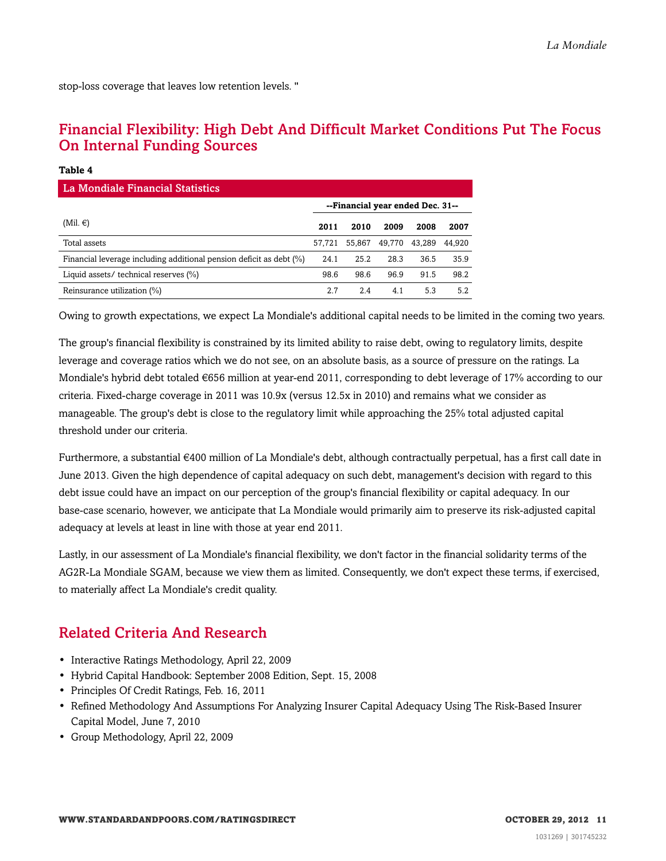<span id="page-10-0"></span>stop-loss coverage that leaves low retention levels. ''

**Table 4**

### Financial Flexibility: High Debt And Difficult Market Conditions Put The Focus On Internal Funding Sources

| La Mondiale Financial Statistics                                    |                                  |        |        |        |        |  |
|---------------------------------------------------------------------|----------------------------------|--------|--------|--------|--------|--|
|                                                                     | --Financial year ended Dec. 31-- |        |        |        |        |  |
| (Mil. $\in$ )                                                       | 2011                             | 2010   | 2009   | 2008   | 2007   |  |
| Total assets                                                        | 57.721                           | 55.867 | 49,770 | 43.289 | 44.920 |  |
| Financial leverage including additional pension deficit as debt (%) | 24.1                             | 25.2   | 28.3   | 36.5   | 35.9   |  |
| Liquid assets/ technical reserves (%)                               | 98.6                             | 98.6   | 96.9   | 91.5   | 98.2   |  |
| Reinsurance utilization (%)                                         | 2.7                              | 2.4    | 4.1    | 5.3    | 5.2    |  |

Owing to growth expectations, we expect La Mondiale's additional capital needs to be limited in the coming two years.

The group's financial flexibility is constrained by its limited ability to raise debt, owing to regulatory limits, despite leverage and coverage ratios which we do not see, on an absolute basis, as a source of pressure on the ratings. La Mondiale's hybrid debt totaled €656 million at year-end 2011, corresponding to debt leverage of 17% according to our criteria. Fixed-charge coverage in 2011 was 10.9x (versus 12.5x in 2010) and remains what we consider as manageable. The group's debt is close to the regulatory limit while approaching the 25% total adjusted capital threshold under our criteria.

Furthermore, a substantial €400 million of La Mondiale's debt, although contractually perpetual, has a first call date in June 2013. Given the high dependence of capital adequacy on such debt, management's decision with regard to this debt issue could have an impact on our perception of the group's financial flexibility or capital adequacy. In our base-case scenario, however, we anticipate that La Mondiale would primarily aim to preserve its risk-adjusted capital adequacy at levels at least in line with those at year end 2011.

Lastly, in our assessment of La Mondiale's financial flexibility, we don't factor in the financial solidarity terms of the AG2R-La Mondiale SGAM, because we view them as limited. Consequently, we don't expect these terms, if exercised, to materially affect La Mondiale's credit quality.

### <span id="page-10-1"></span>Related Criteria And Research

- Interactive Ratings Methodology, April 22, 2009
- Hybrid Capital Handbook: September 2008 Edition, Sept. 15, 2008
- Principles Of Credit Ratings, Feb. 16, 2011
- Refined Methodology And Assumptions For Analyzing Insurer Capital Adequacy Using The Risk-Based Insurer Capital Model, June 7, 2010
- Group Methodology, April 22, 2009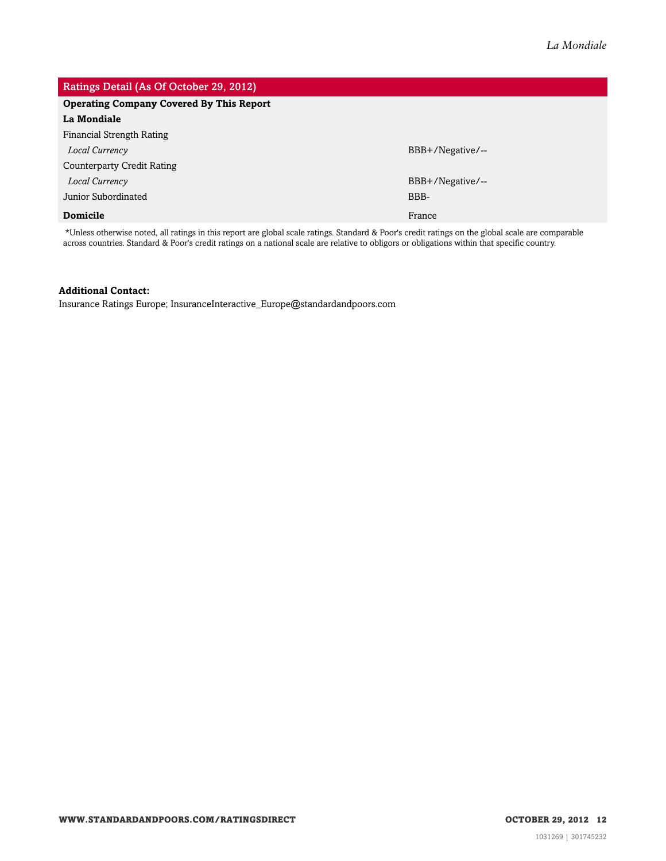### Ratings Detail (As Of October 29, 2012) **Operating Company Covered By This Report La Mondiale** Financial Strength Rating *Local Currency* BBB+/Negative/-- Counterparty Credit Rating *Local Currency* BBB+/Negative/-- Junior Subordinated BBB-**Domicile** France **France** France **France** France **France** France **France** France **France**

\*Unless otherwise noted, all ratings in this report are global scale ratings. Standard & Poor's credit ratings on the global scale are comparable across countries. Standard & Poor's credit ratings on a national scale are relative to obligors or obligations within that specific country.

#### **Additional Contact:**

Insurance Ratings Europe; InsuranceInteractive\_Europe@standardandpoors.com